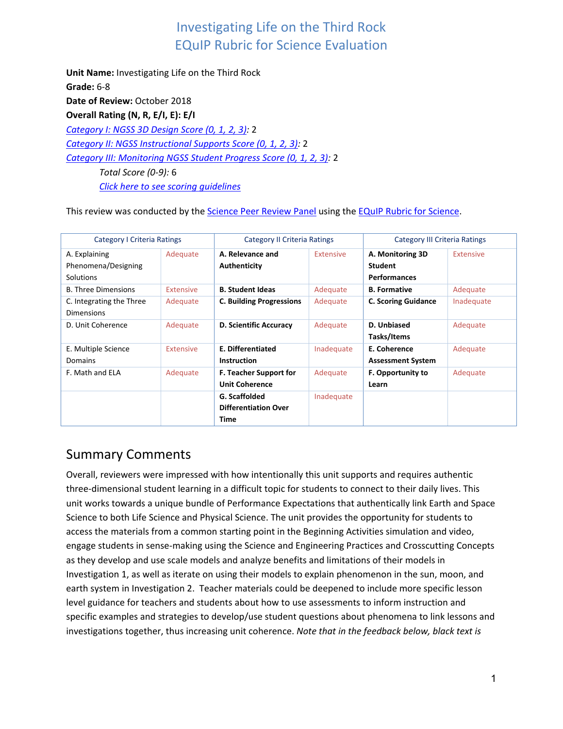**Unit Name:** Investigating Life on the Third Rock **Grade:** 6-8 Date of Review: October 2018 **Overall Rating (N, R, E/I, E): E/I** *[Category I: NGSS 3D Design Score \(0, 1, 2, 3\):](#page-0-0)* 2 *[Category II: NGSS Instructional Supports Score \(0, 1, 2, 3\):](#page-8-0)* 2 *[Category III: Monitoring NGSS Student Progress Score \(0, 1, 2, 3\):](#page-15-0)* 2 *Total Score (0-9):* 6 *[Click here to see scoring guidelines](#page-20-0)*

This review was conducted by th[e Science Peer Review Panel](https://nextgenscience.org/peer-review-panel/peer-review-panel-science) using the [EQuIP Rubric for Science.](https://nextgenscience.org/sites/default/files/EQuIPRubricforSciencev3.pdf)

| <b>Category I Criteria Ratings</b>                       |                  | Category II Criteria Ratings                           |            | Category III Criteria Ratings                             |                  |
|----------------------------------------------------------|------------------|--------------------------------------------------------|------------|-----------------------------------------------------------|------------------|
| A. Explaining<br>Phenomena/Designing<br><b>Solutions</b> | Adequate         | A. Relevance and<br>Authenticity                       | Extensive  | A. Monitoring 3D<br><b>Student</b><br><b>Performances</b> | <b>Extensive</b> |
| <b>B. Three Dimensions</b>                               | <b>Extensive</b> | <b>B. Student Ideas</b>                                | Adequate   | <b>B.</b> Formative                                       | Adequate         |
| C. Integrating the Three<br>Dimensions                   | Adequate         | <b>C. Building Progressions</b>                        | Adequate   | <b>C. Scoring Guidance</b>                                | Inadequate       |
| D. Unit Coherence                                        | Adequate         | D. Scientific Accuracy                                 | Adequate   | D. Unbiased<br>Tasks/Items                                | Adequate         |
| E. Multiple Science<br><b>Domains</b>                    | <b>Extensive</b> | E. Differentiated<br><b>Instruction</b>                | Inadequate | E. Coherence<br><b>Assessment System</b>                  | Adequate         |
| F. Math and ELA                                          | Adequate         | <b>F. Teacher Support for</b><br><b>Unit Coherence</b> | Adequate   | <b>F. Opportunity to</b><br>Learn                         | Adequate         |
|                                                          |                  | G. Scaffolded<br><b>Differentiation Over</b><br>Time   | Inadequate |                                                           |                  |

## Summary Comments

<span id="page-0-0"></span>Overall, reviewers were impressed with how intentionally this unit supports and requires authentic three-dimensional student learning in a difficult topic for students to connect to their daily lives. This unit works towards a unique bundle of Performance Expectations that authentically link Earth and Space Science to both Life Science and Physical Science. The unit provides the opportunity for students to access the materials from a common starting point in the Beginning Activities simulation and video, engage students in sense-making using the Science and Engineering Practices and Crosscutting Concepts as they develop and use scale models and analyze benefits and limitations of their models in Investigation 1, as well as iterate on using their models to explain phenomenon in the sun, moon, and earth system in Investigation 2. Teacher materials could be deepened to include more specific lesson level guidance for teachers and students about how to use assessments to inform instruction and specific examples and strategies to develop/use student questions about phenomena to link lessons and investigations together, thus increasing unit coherence. *Note that in the feedback below, black text is*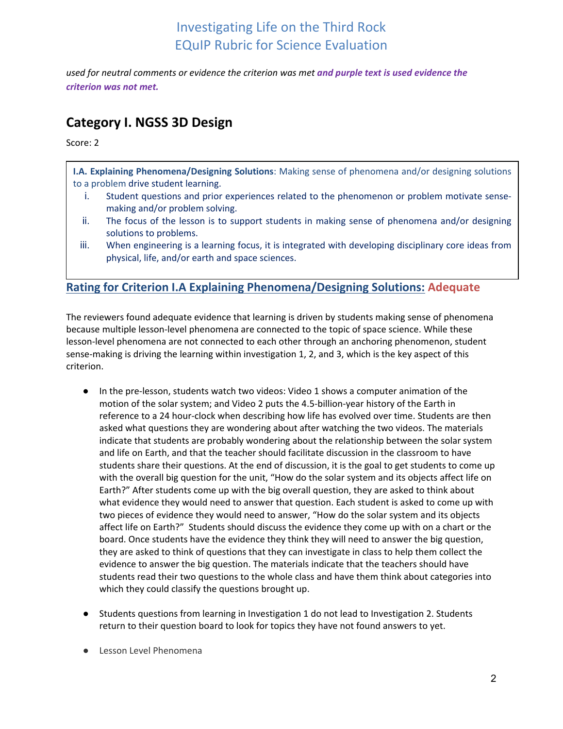*used for neutral comments or evidence the criterion was met and purple text is used evidence the criterion was not met.*

## **Category I. NGSS 3D Design**

Score: 2

**I.A. Explaining Phenomena/Designing Solutions**: Making sense of phenomena and/or designing solutions to a problem drive student learning.

- i. Student questions and prior experiences related to the phenomenon or problem motivate sensemaking and/or problem solving.
- ii. The focus of the lesson is to support students in making sense of phenomena and/or designing solutions to problems.
- iii. When engineering is a learning focus, it is integrated with developing disciplinary core ideas from physical, life, and/or earth and space sciences.

### **Rating for Criterion I.A Explaining Phenomena/Designing Solutions: Adequate**

The reviewers found adequate evidence that learning is driven by students making sense of phenomena because multiple lesson-level phenomena are connected to the topic of space science. While these lesson-level phenomena are not connected to each other through an anchoring phenomenon, student sense-making is driving the learning within investigation 1, 2, and 3, which is the key aspect of this criterion.

- In the pre-lesson, students watch two videos: Video 1 shows a computer animation of the motion of the solar system; and Video 2 puts the 4.5-billion-year history of the Earth in reference to a 24 hour-clock when describing how life has evolved over time. Students are then asked what questions they are wondering about after watching the two videos. The materials indicate that students are probably wondering about the relationship between the solar system and life on Earth, and that the teacher should facilitate discussion in the classroom to have students share their questions. At the end of discussion, it is the goal to get students to come up with the overall big question for the unit, "How do the solar system and its objects affect life on Earth?" After students come up with the big overall question, they are asked to think about what evidence they would need to answer that question. Each student is asked to come up with two pieces of evidence they would need to answer, "How do the solar system and its objects affect life on Earth?" Students should discuss the evidence they come up with on a chart or the board. Once students have the evidence they think they will need to answer the big question, they are asked to think of questions that they can investigate in class to help them collect the evidence to answer the big question. The materials indicate that the teachers should have students read their two questions to the whole class and have them think about categories into which they could classify the questions brought up.
- Students questions from learning in Investigation 1 do not lead to Investigation 2. Students return to their question board to look for topics they have not found answers to yet.
- Lesson Level Phenomena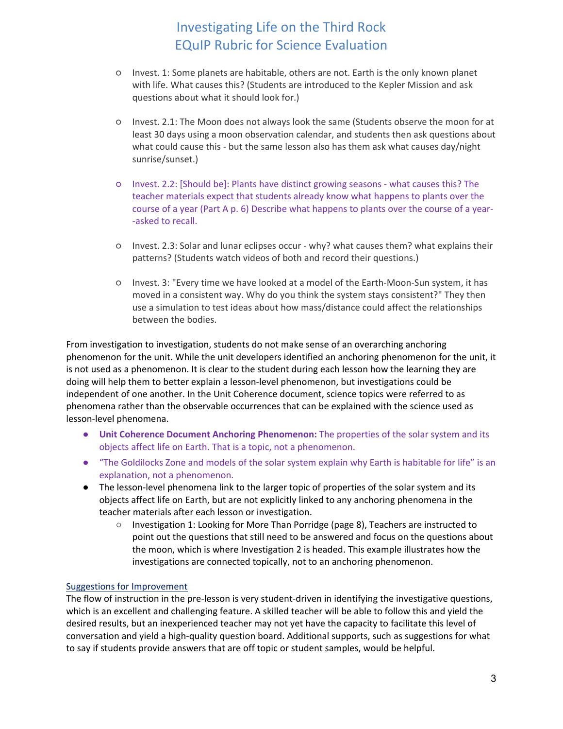- Invest. 1: Some planets are habitable, others are not. Earth is the only known planet with life. What causes this? (Students are introduced to the Kepler Mission and ask questions about what it should look for.)
- Invest. 2.1: The Moon does not always look the same (Students observe the moon for at least 30 days using a moon observation calendar, and students then ask questions about what could cause this - but the same lesson also has them ask what causes day/night sunrise/sunset.)
- Invest. 2.2: [Should be]: Plants have distinct growing seasons what causes this? The teacher materials expect that students already know what happens to plants over the course of a year (Part A p. 6) Describe what happens to plants over the course of a year- -asked to recall.
- Invest. 2.3: Solar and lunar eclipses occur why? what causes them? what explains their patterns? (Students watch videos of both and record their questions.)
- Invest. 3: "Every time we have looked at a model of the Earth-Moon-Sun system, it has moved in a consistent way. Why do you think the system stays consistent?" They then use a simulation to test ideas about how mass/distance could affect the relationships between the bodies.

From investigation to investigation, students do not make sense of an overarching anchoring phenomenon for the unit. While the unit developers identified an anchoring phenomenon for the unit, it is not used as a phenomenon. It is clear to the student during each lesson how the learning they are doing will help them to better explain a lesson-level phenomenon, but investigations could be independent of one another. In the Unit Coherence document, science topics were referred to as phenomena rather than the observable occurrences that can be explained with the science used as lesson-level phenomena.

- **Unit Coherence Document Anchoring Phenomenon:** The properties of the solar system and its objects affect life on Earth. That is a topic, not a phenomenon.
- "The Goldilocks Zone and models of the solar system explain why Earth is habitable for life" is an explanation, not a phenomenon.
- The lesson-level phenomena link to the larger topic of properties of the solar system and its objects affect life on Earth, but are not explicitly linked to any anchoring phenomena in the teacher materials after each lesson or investigation.
	- Investigation 1: Looking for More Than Porridge (page 8), Teachers are instructed to point out the questions that still need to be answered and focus on the questions about the moon, which is where Investigation 2 is headed. This example illustrates how the investigations are connected topically, not to an anchoring phenomenon.

#### Suggestions for Improvement

The flow of instruction in the pre-lesson is very student-driven in identifying the investigative questions, which is an excellent and challenging feature. A skilled teacher will be able to follow this and yield the desired results, but an inexperienced teacher may not yet have the capacity to facilitate this level of conversation and yield a high-quality question board. Additional supports, such as suggestions for what to say if students provide answers that are off topic or student samples, would be helpful.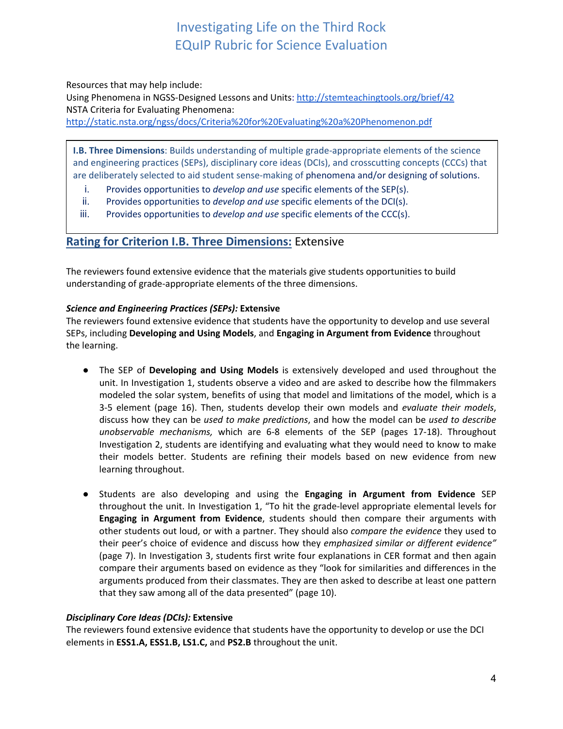Resources that may help include:

Using Phenomena in NGSS-Designed Lessons and Units:<http://stemteachingtools.org/brief/42> NSTA Criteria for Evaluating Phenomena:

<http://static.nsta.org/ngss/docs/Criteria%20for%20Evaluating%20a%20Phenomenon.pdf>

**I.B. Three Dimensions**: Builds understanding of multiple grade-appropriate elements of the science and engineering practices (SEPs), disciplinary core ideas (DCIs), and crosscutting concepts (CCCs) that are deliberately selected to aid student sense-making of phenomena and/or designing of solutions.

- i. Provides opportunities to *develop and use* specific elements of the SEP(s).
- ii. Provides opportunities to *develop and use* specific elements of the DCI(s).
- iii. Provides opportunities to *develop and use* specific elements of the CCC(s).

### **Rating for Criterion I.B. Three Dimensions:** Extensive

The reviewers found extensive evidence that the materials give students opportunities to build understanding of grade-appropriate elements of the three dimensions.

#### *Science and Engineering Practices (SEPs):* **Extensive**

The reviewers found extensive evidence that students have the opportunity to develop and use several SEPs, including **Developing and Using Models**, and **Engaging in Argument from Evidence** throughout the learning.

- The SEP of **Developing and Using Models** is extensively developed and used throughout the unit. In Investigation 1, students observe a video and are asked to describe how the filmmakers modeled the solar system, benefits of using that model and limitations of the model, which is a 3-5 element (page 16). Then, students develop their own models and *evaluate their models*, discuss how they can be *used to make predictions*, and how the model can be *used to describe unobservable mechanisms,* which are 6-8 elements of the SEP (pages 17-18). Throughout Investigation 2, students are identifying and evaluating what they would need to know to make their models better. Students are refining their models based on new evidence from new learning throughout.
- Students are also developing and using the **Engaging in Argument from Evidence** SEP throughout the unit. In Investigation 1, "To hit the grade-level appropriate elemental levels for **Engaging in Argument from Evidence**, students should then compare their arguments with other students out loud, or with a partner. They should also *compare the evidence* they used to their peer's choice of evidence and discuss how they *emphasized similar or different evidence"*  (page 7). In Investigation 3, students first write four explanations in CER format and then again compare their arguments based on evidence as they "look for similarities and differences in the arguments produced from their classmates. They are then asked to describe at least one pattern that they saw among all of the data presented" (page 10).

#### *Disciplinary Core Ideas (DCIs):* **Extensive**

The reviewers found extensive evidence that students have the opportunity to develop or use the DCI elements in **ESS1.A, ESS1.B, LS1.C,** and **PS2.B** throughout the unit.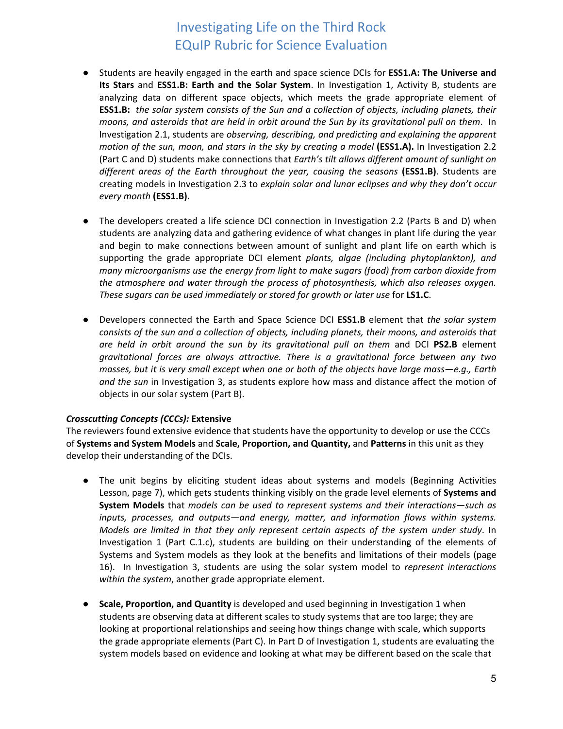- Students are heavily engaged in the earth and space science DCIs for **ESS1.A: The Universe and Its Stars** and **ESS1.B: Earth and the Solar System**. In Investigation 1, Activity B, students are analyzing data on different space objects, which meets the grade appropriate element of **ESS1.B:** *the solar system consists of the Sun and a collection of objects, including planets, their moons, and asteroids that are held in orbit around the Sun by its gravitational pull on them*. In Investigation 2.1, students are *observing, describing, and predicting and explaining the apparent motion of the sun, moon, and stars in the sky by creating a model* (**ESS1.A).** In Investigation 2.2 (Part C and D) students make connections that *Earth's tilt allows different amount of sunlight on different areas of the Earth throughout the year, causing the seasons* **(ESS1.B)**. Students are creating models in Investigation 2.3 to *explain solar and lunar eclipses and why they don't occur every month* **(ESS1.B)**.
- The developers created a life science DCI connection in Investigation 2.2 (Parts B and D) when students are analyzing data and gathering evidence of what changes in plant life during the year and begin to make connections between amount of sunlight and plant life on earth which is supporting the grade appropriate DCI element *plants, algae (including phytoplankton), and many microorganisms use the energy from light to make sugars (food) from carbon dioxide from the atmosphere and water through the process of photosynthesis, which also releases oxygen. These sugars can be used immediately or stored for growth or later use* for **LS1.C**.
- Developers connected the Earth and Space Science DCI **ESS1.B** element that *the solar system consists of the sun and a collection of objects, including planets, their moons, and asteroids that are held in orbit around the sun by its gravitational pull on them* and DCI **PS2.B** element *gravitational forces are always attractive. There is a gravitational force between any two masses, but it is very small except when one or both of the objects have large mass—e.g., Earth and the sun* in Investigation 3, as students explore how mass and distance affect the motion of objects in our solar system (Part B).

#### *Crosscutting Concepts (CCCs):* **Extensive**

The reviewers found extensive evidence that students have the opportunity to develop or use the CCCs of **Systems and System Models** and **Scale, Proportion, and Quantity,** and **Patterns** in this unit as they develop their understanding of the DCIs.

- The unit begins by eliciting student ideas about systems and models (Beginning Activities Lesson, page 7), which gets students thinking visibly on the grade level elements of **Systems and System Models** that *models can be used to represent systems and their interactions—such as inputs, processes, and outputs—and energy, matter, and information flows within systems. Models are limited in that they only represent certain aspects of the system under study*. In Investigation 1 (Part C.1.c), students are building on their understanding of the elements of Systems and System models as they look at the benefits and limitations of their models (page 16). In Investigation 3, students are using the solar system model to *represent interactions within the system*, another grade appropriate element.
- **Scale, Proportion, and Quantity** is developed and used beginning in Investigation 1 when students are observing data at different scales to study systems that are too large; they are looking at proportional relationships and seeing how things change with scale, which supports the grade appropriate elements (Part C). In Part D of Investigation 1, students are evaluating the system models based on evidence and looking at what may be different based on the scale that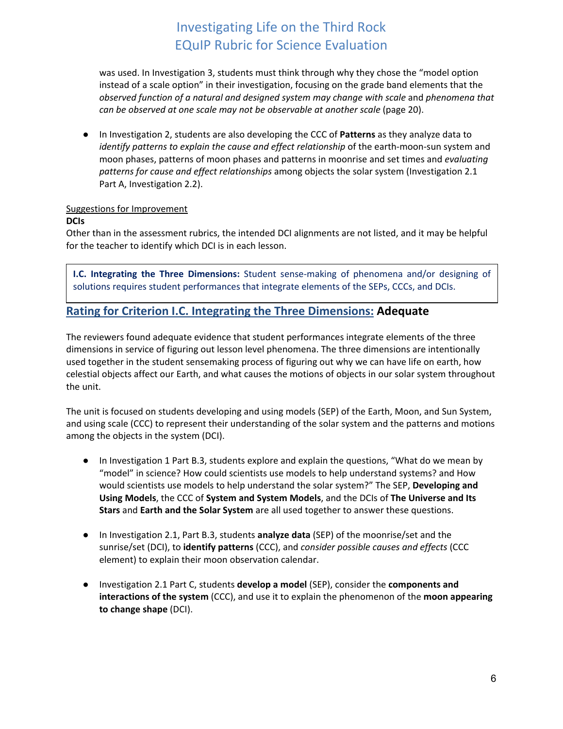was used. In Investigation 3, students must think through why they chose the "model option instead of a scale option" in their investigation, focusing on the grade band elements that the *observed function of a natural and designed system may change with scale* and *phenomena that can be observed at one scale may not be observable at another scale* (page 20).

● In Investigation 2, students are also developing the CCC of **Patterns** as they analyze data to *identify patterns to explain the cause and effect relationship* of the earth-moon-sun system and moon phases, patterns of moon phases and patterns in moonrise and set times and *evaluating patterns for cause and effect relationships* among objects the solar system (Investigation 2.1 Part A, Investigation 2.2).

### Suggestions for Improvement

### **DCIs**

Other than in the assessment rubrics, the intended DCI alignments are not listed, and it may be helpful for the teacher to identify which DCI is in each lesson.

**I.C. Integrating the Three Dimensions:** Student sense-making of phenomena and/or designing of solutions requires student performances that integrate elements of the SEPs, CCCs, and DCIs.

### **Rating for Criterion I.C. Integrating the Three Dimensions: Adequate**

The reviewers found adequate evidence that student performances integrate elements of the three dimensions in service of figuring out lesson level phenomena. The three dimensions are intentionally used together in the student sensemaking process of figuring out why we can have life on earth, how celestial objects affect our Earth, and what causes the motions of objects in our solar system throughout the unit.

The unit is focused on students developing and using models (SEP) of the Earth, Moon, and Sun System, and using scale (CCC) to represent their understanding of the solar system and the patterns and motions among the objects in the system (DCI).

- In Investigation 1 Part B.3, students explore and explain the questions, "What do we mean by "model" in science? How could scientists use models to help understand systems? and How would scientists use models to help understand the solar system?" The SEP, **Developing and Using Models**, the CCC of **System and System Models**, and the DCIs of **The Universe and Its Stars** and **Earth and the Solar System** are all used together to answer these questions.
- In Investigation 2.1, Part B.3, students **analyze data** (SEP) of the moonrise/set and the sunrise/set (DCI), to **identify patterns** (CCC), and *consider possible causes and effects* (CCC element) to explain their moon observation calendar.
- Investigation 2.1 Part C, students **develop a model** (SEP), consider the **components and interactions of the system** (CCC), and use it to explain the phenomenon of the **moon appearing to change shape** (DCI).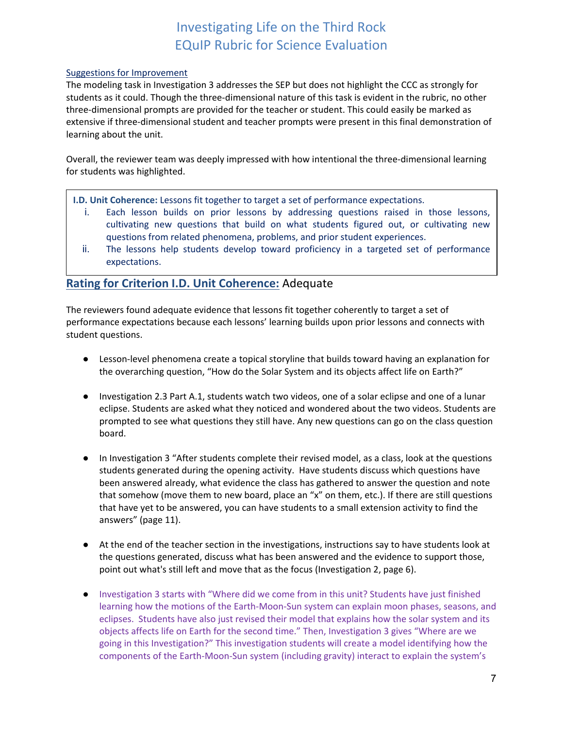#### Suggestions for Improvement

The modeling task in Investigation 3 addresses the SEP but does not highlight the CCC as strongly for students as it could. Though the three-dimensional nature of this task is evident in the rubric, no other three-dimensional prompts are provided for the teacher or student. This could easily be marked as extensive if three-dimensional student and teacher prompts were present in this final demonstration of learning about the unit.

Overall, the reviewer team was deeply impressed with how intentional the three-dimensional learning for students was highlighted.

**I.D. Unit Coherence:** Lessons fit together to target a set of performance expectations.

- i. Each lesson builds on prior lessons by addressing questions raised in those lessons, cultivating new questions that build on what students figured out, or cultivating new questions from related phenomena, problems, and prior student experiences.
- ii. The lessons help students develop toward proficiency in a targeted set of performance expectations.

### **Rating for Criterion I.D. Unit Coherence:** Adequate

The reviewers found adequate evidence that lessons fit together coherently to target a set of performance expectations because each lessons' learning builds upon prior lessons and connects with student questions.

- Lesson-level phenomena create a topical storyline that builds toward having an explanation for the overarching question, "How do the Solar System and its objects affect life on Earth?"
- Investigation 2.3 Part A.1, students watch two videos, one of a solar eclipse and one of a lunar eclipse. Students are asked what they noticed and wondered about the two videos. Students are prompted to see what questions they still have. Any new questions can go on the class question board.
- In Investigation 3 "After students complete their revised model, as a class, look at the questions students generated during the opening activity. Have students discuss which questions have been answered already, what evidence the class has gathered to answer the question and note that somehow (move them to new board, place an "x" on them, etc.). If there are still questions that have yet to be answered, you can have students to a small extension activity to find the answers" (page 11).
- At the end of the teacher section in the investigations, instructions say to have students look at the questions generated, discuss what has been answered and the evidence to support those, point out what's still left and move that as the focus (Investigation 2, page 6).
- Investigation 3 starts with "Where did we come from in this unit? Students have just finished learning how the motions of the Earth-Moon-Sun system can explain moon phases, seasons, and eclipses. Students have also just revised their model that explains how the solar system and its objects affects life on Earth for the second time." Then, Investigation 3 gives "Where are we going in this Investigation?" This investigation students will create a model identifying how the components of the Earth-Moon-Sun system (including gravity) interact to explain the system's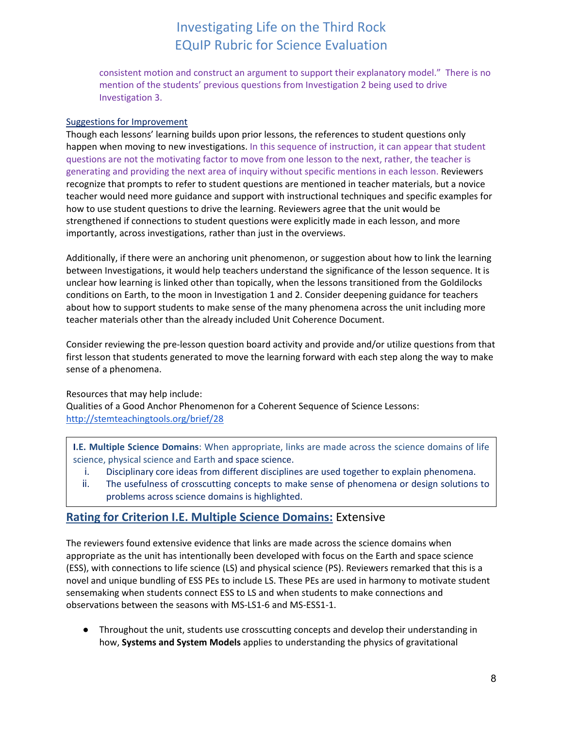consistent motion and construct an argument to support their explanatory model." There is no mention of the students' previous questions from Investigation 2 being used to drive Investigation 3.

#### Suggestions for Improvement

Though each lessons' learning builds upon prior lessons, the references to student questions only happen when moving to new investigations. In this sequence of instruction, it can appear that student questions are not the motivating factor to move from one lesson to the next, rather, the teacher is generating and providing the next area of inquiry without specific mentions in each lesson. Reviewers recognize that prompts to refer to student questions are mentioned in teacher materials, but a novice teacher would need more guidance and support with instructional techniques and specific examples for how to use student questions to drive the learning. Reviewers agree that the unit would be strengthened if connections to student questions were explicitly made in each lesson, and more importantly, across investigations, rather than just in the overviews.

Additionally, if there were an anchoring unit phenomenon, or suggestion about how to link the learning between Investigations, it would help teachers understand the significance of the lesson sequence. It is unclear how learning is linked other than topically, when the lessons transitioned from the Goldilocks conditions on Earth, to the moon in Investigation 1 and 2. Consider deepening guidance for teachers about how to support students to make sense of the many phenomena across the unit including more teacher materials other than the already included Unit Coherence Document.

Consider reviewing the pre-lesson question board activity and provide and/or utilize questions from that first lesson that students generated to move the learning forward with each step along the way to make sense of a phenomena.

### Resources that may help include:

Qualities of a Good Anchor Phenomenon for a Coherent Sequence of Science Lessons: <http://stemteachingtools.org/brief/28>

**I.E. Multiple Science Domains**: When appropriate, links are made across the science domains of life science, physical science and Earth and space science.

- i. Disciplinary core ideas from different disciplines are used together to explain phenomena.
- ii. The usefulness of crosscutting concepts to make sense of phenomena or design solutions to problems across science domains is highlighted.

### **Rating for Criterion I.E. Multiple Science Domains:** Extensive

The reviewers found extensive evidence that links are made across the science domains when appropriate as the unit has intentionally been developed with focus on the Earth and space science (ESS), with connections to life science (LS) and physical science (PS). Reviewers remarked that this is a novel and unique bundling of ESS PEs to include LS. These PEs are used in harmony to motivate student sensemaking when students connect ESS to LS and when students to make connections and observations between the seasons with MS-LS1-6 and MS-ESS1-1.

● Throughout the unit, students use crosscutting concepts and develop their understanding in how, **Systems and System Models** applies to understanding the physics of gravitational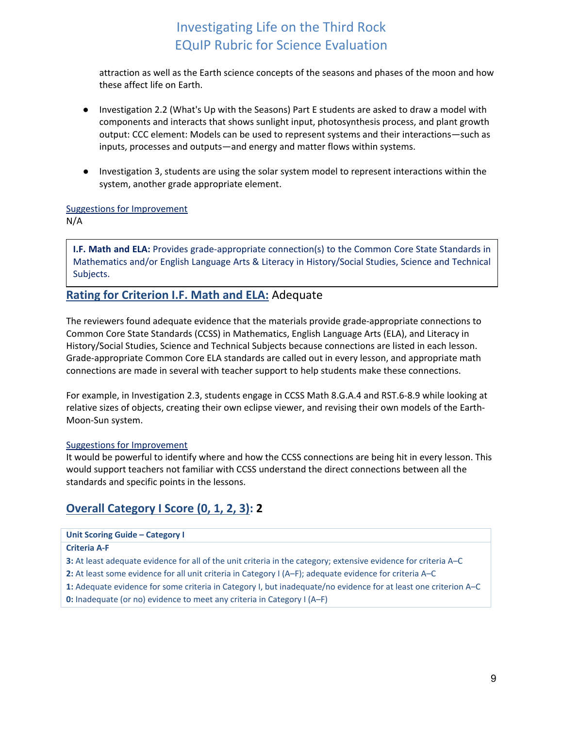attraction as well as the Earth science concepts of the seasons and phases of the moon and how these affect life on Earth.

- Investigation 2.2 (What's Up with the Seasons) Part E students are asked to draw a model with components and interacts that shows sunlight input, photosynthesis process, and plant growth output: CCC element: Models can be used to represent systems and their interactions—such as inputs, processes and outputs—and energy and matter flows within systems.
- Investigation 3, students are using the solar system model to represent interactions within the system, another grade appropriate element.

#### Suggestions for Improvement

N/A

**I.F. Math and ELA:** Provides grade-appropriate connection(s) to the Common Core State Standards in Mathematics and/or English Language Arts & Literacy in History/Social Studies, Science and Technical Subjects.

### **Rating for Criterion I.F. Math and ELA:** Adequate

The reviewers found adequate evidence that the materials provide grade-appropriate connections to Common Core State Standards (CCSS) in Mathematics, English Language Arts (ELA), and Literacy in History/Social Studies, Science and Technical Subjects because connections are listed in each lesson. Grade-appropriate Common Core ELA standards are called out in every lesson, and appropriate math connections are made in several with teacher support to help students make these connections.

For example, in Investigation 2.3, students engage in CCSS Math 8.G.A.4 and RST.6-8.9 while looking at relative sizes of objects, creating their own eclipse viewer, and revising their own models of the Earth-Moon-Sun system.

### Suggestions for Improvement

It would be powerful to identify where and how the CCSS connections are being hit in every lesson. This would support teachers not familiar with CCSS understand the direct connections between all the standards and specific points in the lessons.

## **Overall Category I Score (0, 1, 2, 3): 2**

#### **Unit Scoring Guide – Category I**

**Criteria A-F**

- **3:** At least adequate evidence for all of the unit criteria in the category; extensive evidence for criteria A–C
- **2:** At least some evidence for all unit criteria in Category I (A–F); adequate evidence for criteria A–C
- **1:** Adequate evidence for some criteria in Category I, but inadequate/no evidence for at least one criterion A–C

<span id="page-8-0"></span>**0:** Inadequate (or no) evidence to meet any criteria in Category I (A–F)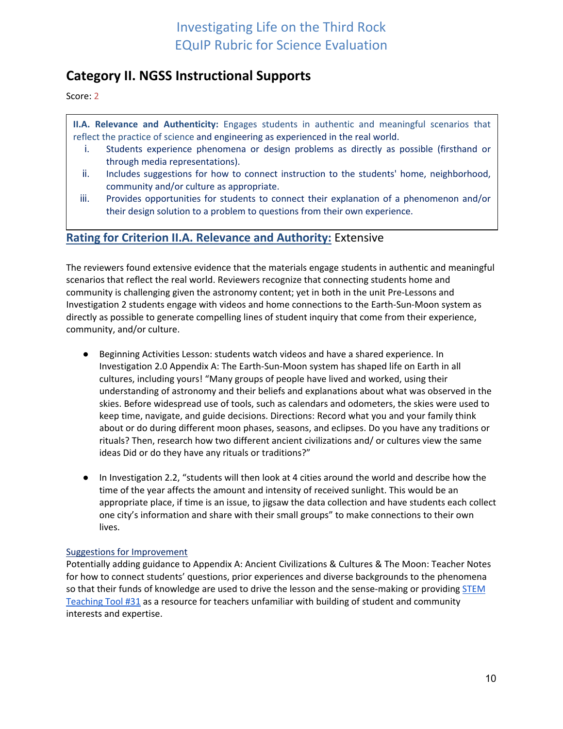## **Category II. NGSS Instructional Supports**

Score: 2

**II.A. Relevance and Authenticity:** Engages students in authentic and meaningful scenarios that reflect the practice of science and engineering as experienced in the real world.

- i. Students experience phenomena or design problems as directly as possible (firsthand or through media representations).
- ii. Includes suggestions for how to connect instruction to the students' home, neighborhood, community and/or culture as appropriate.
- iii. Provides opportunities for students to connect their explanation of a phenomenon and/or their design solution to a problem to questions from their own experience.

### **Rating for Criterion II.A. Relevance and Authority:** Extensive

The reviewers found extensive evidence that the materials engage students in authentic and meaningful scenarios that reflect the real world. Reviewers recognize that connecting students home and community is challenging given the astronomy content; yet in both in the unit Pre-Lessons and Investigation 2 students engage with videos and home connections to the Earth-Sun-Moon system as directly as possible to generate compelling lines of student inquiry that come from their experience, community, and/or culture.

- Beginning Activities Lesson: students watch videos and have a shared experience. In Investigation 2.0 Appendix A: The Earth-Sun-Moon system has shaped life on Earth in all cultures, including yours! "Many groups of people have lived and worked, using their understanding of astronomy and their beliefs and explanations about what was observed in the skies. Before widespread use of tools, such as calendars and odometers, the skies were used to keep time, navigate, and guide decisions. Directions: Record what you and your family think about or do during different moon phases, seasons, and eclipses. Do you have any traditions or rituals? Then, research how two different ancient civilizations and/ or cultures view the same ideas Did or do they have any rituals or traditions?"
- In Investigation 2.2, "students will then look at 4 cities around the world and describe how the time of the year affects the amount and intensity of received sunlight. This would be an appropriate place, if time is an issue, to jigsaw the data collection and have students each collect one city's information and share with their small groups" to make connections to their own lives.

#### Suggestions for Improvement

Potentially adding guidance to [Appendix A: Ancient Civilizations & Cultures & The Moon: Teacher Notes](https://docs.google.com/document/d/15PKWg46JuUERpBmVPA00UdqHCWswTAu2VzlCJj6NHWQ/edit#heading=h.14h11xepd3lk) for how to connect students' questions, prior experiences and diverse backgrounds to the phenomena so that their funds of knowledge are used to drive the lesson and the sense-making or providing STEM [Teaching Tool #31](http://stemteachingtools.org/assets/landscapes/STEM-Teaching-Tool-31-Building-on-Student-Interest.pdf) as a resource for teachers unfamiliar with building of student and community interests and expertise.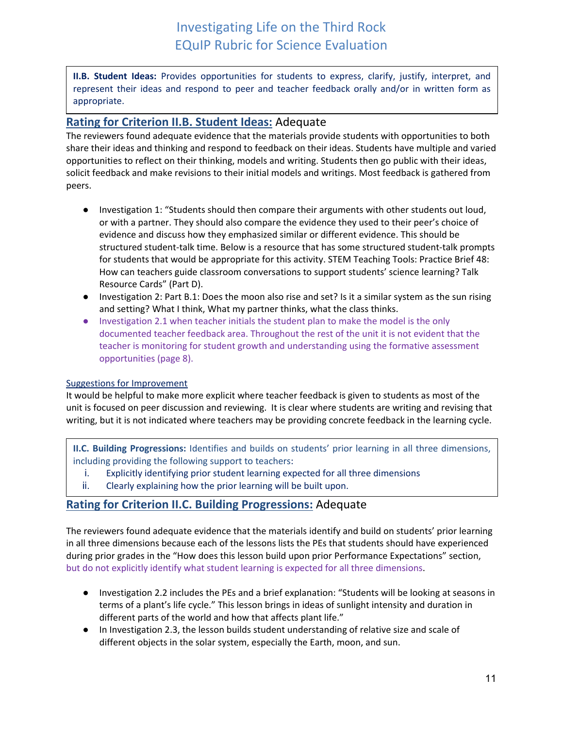**II.B. Student Ideas:** Provides opportunities for students to express, clarify, justify, interpret, and represent their ideas and respond to peer and teacher feedback orally and/or in written form as appropriate.

### **Rating for Criterion II.B. Student Ideas:** Adequate

The reviewers found adequate evidence that the materials provide students with opportunities to both share their ideas and thinking and respond to feedback on their ideas. Students have multiple and varied opportunities to reflect on their thinking, models and writing. Students then go public with their ideas, solicit feedback and make revisions to their initial models and writings. Most feedback is gathered from peers.

- Investigation 1: "Students should then compare their arguments with other students out loud, or with a partner. They should also compare the evidence they used to their peer's choice of evidence and discuss how they emphasized similar or different evidence. This should be structured student-talk time. Below is a resource that has some structured student-talk prompts for students that would be appropriate for this activity. STEM Teaching Tools: Practice Brief 48: How can teachers guide classroom conversations to support students' science learning? Talk Resource Cards" (Part D).
- Investigation 2: Part B.1: Does the moon also rise and set? Is it a similar system as the sun rising and setting? What I think, What my partner thinks, what the class thinks.
- Investigation 2.1 when teacher initials the student plan to make the model is the only documented teacher feedback area. Throughout the rest of the unit it is not evident that the teacher is monitoring for student growth and understanding using the formative assessment opportunities (page 8).

### Suggestions for Improvement

It would be helpful to make more explicit where teacher feedback is given to students as most of the unit is focused on peer discussion and reviewing. It is clear where students are writing and revising that writing, but it is not indicated where teachers may be providing concrete feedback in the learning cycle.

**II.C. Building Progressions:** Identifies and builds on students' prior learning in all three dimensions, including providing the following support to teachers:

- i. Explicitly identifying prior student learning expected for all three dimensions
- ii. Clearly explaining how the prior learning will be built upon.

### **Rating for Criterion II.C. Building Progressions:** Adequate

The reviewers found adequate evidence that the materials identify and build on students' prior learning in all three dimensions because each of the lessons lists the PEs that students should have experienced during prior grades in the "How does this lesson build upon prior Performance Expectations" section, but do not explicitly identify what student learning is expected for all three dimensions.

- Investigation 2.2 includes the PEs and a brief explanation: "Students will be looking at seasons in terms of a plant's life cycle." This lesson brings in ideas of sunlight intensity and duration in different parts of the world and how that affects plant life."
- In Investigation 2.3, the lesson builds student understanding of relative size and scale of different objects in the solar system, especially the Earth, moon, and sun.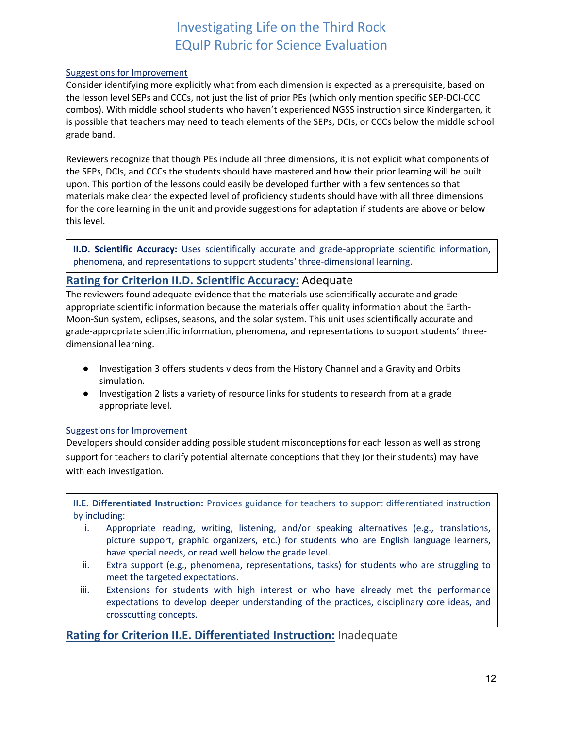#### Suggestions for Improvement

Consider identifying more explicitly what from each dimension is expected as a prerequisite, based on the lesson level SEPs and CCCs, not just the list of prior PEs (which only mention specific SEP-DCI-CCC combos). With middle school students who haven't experienced NGSS instruction since Kindergarten, it is possible that teachers may need to teach elements of the SEPs, DCIs, or CCCs below the middle school grade band.

Reviewers recognize that though PEs include all three dimensions, it is not explicit what components of the SEPs, DCIs, and CCCs the students should have mastered and how their prior learning will be built upon. This portion of the lessons could easily be developed further with a few sentences so that materials make clear the expected level of proficiency students should have with all three dimensions for the core learning in the unit and provide suggestions for adaptation if students are above or below this level.

**II.D. Scientific Accuracy:** Uses scientifically accurate and grade-appropriate scientific information, phenomena, and representations to support students' three-dimensional learning.

### **Rating for Criterion II.D. Scientific Accuracy:** Adequate

The reviewers found adequate evidence that the materials use scientifically accurate and grade appropriate scientific information because the materials offer quality information about the Earth-Moon-Sun system, eclipses, seasons, and the solar system. This unit uses scientifically accurate and grade-appropriate scientific information, phenomena, and representations to support students' threedimensional learning.

- Investigation 3 offers students videos from the History Channel and a Gravity and Orbits simulation.
- Investigation 2 lists a variety of resource links for students to research from at a grade appropriate level.

#### Suggestions for Improvement

Developers should consider adding possible student misconceptions for each lesson as well as strong support for teachers to clarify potential alternate conceptions that they (or their students) may have with each investigation.

**II.E. Differentiated Instruction:** Provides guidance for teachers to support differentiated instruction by including:

- i. Appropriate reading, writing, listening, and/or speaking alternatives (e.g., translations, picture support, graphic organizers, etc.) for students who are English language learners, have special needs, or read well below the grade level.
- ii. Extra support (e.g., phenomena, representations, tasks) for students who are struggling to meet the targeted expectations.
- iii. Extensions for students with high interest or who have already met the performance expectations to develop deeper understanding of the practices, disciplinary core ideas, and crosscutting concepts.

**Rating for Criterion II.E. Differentiated Instruction:** Inadequate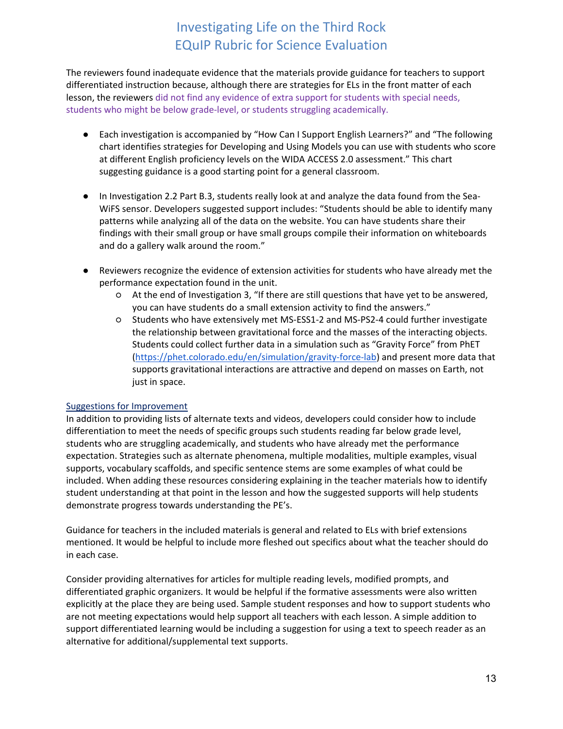The reviewers found inadequate evidence that the materials provide guidance for teachers to support differentiated instruction because, although there are strategies for ELs in the front matter of each lesson, the reviewers did not find any evidence of extra support for students with special needs, students who might be below grade-level, or students struggling academically.

- Each investigation is accompanied by "How Can I Support English Learners?" and "The following chart identifies strategies for Developing and Using Models you can use with students who score at different English proficiency levels on the WIDA ACCESS 2.0 assessment." This chart suggesting guidance is a good starting point for a general classroom.
- In Investigation 2.2 Part B.3, students really look at and analyze the data found from the Sea-WiFS sensor. Developers suggested support includes: "Students should be able to identify many patterns while analyzing all of the data on the website. You can have students share their findings with their small group or have small groups compile their information on whiteboards and do a gallery walk around the room."
- Reviewers recognize the evidence of extension activities for students who have already met the performance expectation found in the unit.
	- At the end of Investigation 3, "If there are still questions that have yet to be answered, you can have students do a small extension activity to find the answers."
	- Students who have extensively met MS-ESS1-2 and MS-PS2-4 could further investigate the relationship between gravitational force and the masses of the interacting objects. Students could collect further data in a simulation such as "Gravity Force" from PhET [\(https://phet.colorado.edu/en/simulation/gravity-force-lab\)](https://phet.colorado.edu/en/simulation/gravity-force-lab) and present more data that supports gravitational interactions are attractive and depend on masses on Earth, not just in space.

### Suggestions for Improvement

In addition to providing lists of alternate texts and videos, developers could consider how to include differentiation to meet the needs of specific groups such students reading far below grade level, students who are struggling academically, and students who have already met the performance expectation. Strategies such as alternate phenomena, multiple modalities, multiple examples, visual supports, vocabulary scaffolds, and specific sentence stems are some examples of what could be included. When adding these resources considering explaining in the teacher materials how to identify student understanding at that point in the lesson and how the suggested supports will help students demonstrate progress towards understanding the PE's.

Guidance for teachers in the included materials is general and related to ELs with brief extensions mentioned. It would be helpful to include more fleshed out specifics about what the teacher should do in each case.

Consider providing alternatives for articles for multiple reading levels, modified prompts, and differentiated graphic organizers. It would be helpful if the formative assessments were also written explicitly at the place they are being used. Sample student responses and how to support students who are not meeting expectations would help support all teachers with each lesson. A simple addition to support differentiated learning would be including a suggestion for using a text to speech reader as an alternative for additional/supplemental text supports.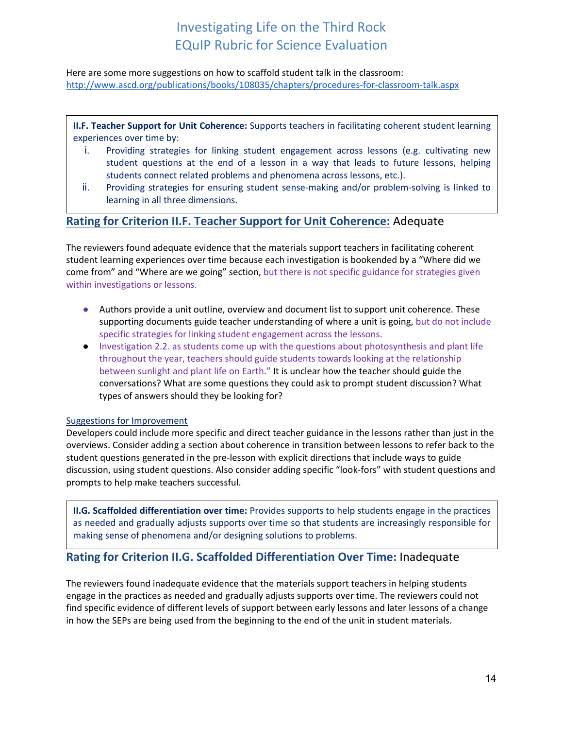Here are some more suggestions on how to scaffold student talk in the classroom: <http://www.ascd.org/publications/books/108035/chapters/procedures-for-classroom-talk.aspx>

**II.F. Teacher Support for Unit Coherence:** Supports teachers in facilitating coherent student learning experiences over time by:

- i. Providing strategies for linking student engagement across lessons (e.g. cultivating new student questions at the end of a lesson in a way that leads to future lessons, helping students connect related problems and phenomena across lessons, etc.).
- ii. Providing strategies for ensuring student sense-making and/or problem-solving is linked to learning in all three dimensions.

### **Rating for Criterion II.F. Teacher Support for Unit Coherence:** Adequate

The reviewers found adequate evidence that the materials support teachers in facilitating coherent student learning experiences over time because each investigation is bookended by a "Where did we come from" and "Where are we going" section, but there is not specific guidance for strategies given within investigations or lessons.

- Authors provide a unit outline, overview and document list to support unit coherence. These supporting documents guide teacher understanding of where a unit is going, but do not include specific strategies for linking student engagement across the lessons.
- Investigation 2.2. as students come up with the questions about photosynthesis and plant life throughout the year, teachers should guide students towards looking at the relationship between sunlight and plant life on Earth." It is unclear how the teacher should guide the conversations? What are some questions they could ask to prompt student discussion? What types of answers should they be looking for?

#### Suggestions for Improvement

Developers could include more specific and direct teacher guidance in the lessons rather than just in the overviews. Consider adding a section about coherence in transition between lessons to refer back to the student questions generated in the pre-lesson with explicit directions that include ways to guide discussion, using student questions. Also consider adding specific "look-fors" with student questions and prompts to help make teachers successful.

**II.G. Scaffolded differentiation over time:** Provides supports to help students engage in the practices as needed and gradually adjusts supports over time so that students are increasingly responsible for making sense of phenomena and/or designing solutions to problems.

### **Rating for Criterion II.G. Scaffolded Differentiation Over Time:** Inadequate

The reviewers found inadequate evidence that the materials support teachers in helping students engage in the practices as needed and gradually adjusts supports over time. The reviewers could not find specific evidence of different levels of support between early lessons and later lessons of a change in how the SEPs are being used from the beginning to the end of the unit in student materials.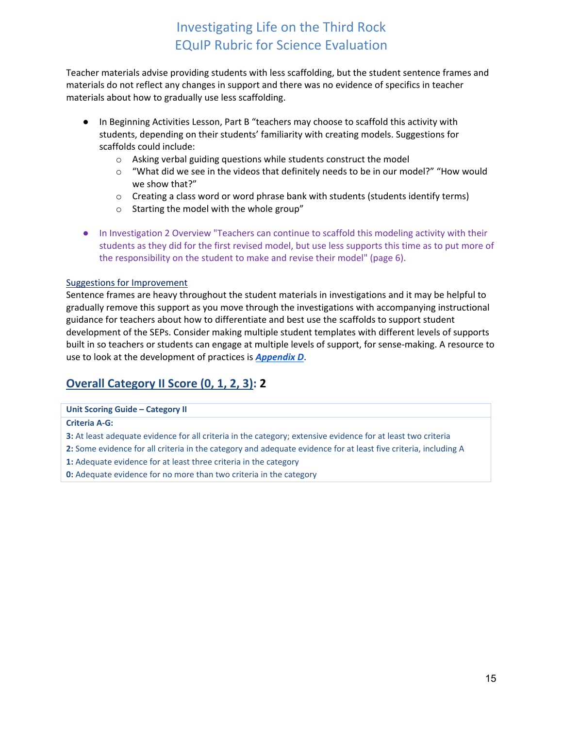Teacher materials advise providing students with less scaffolding, but the student sentence frames and materials do not reflect any changes in support and there was no evidence of specifics in teacher materials about how to gradually use less scaffolding.

- In Beginning Activities Lesson, Part B "teachers may choose to scaffold this activity with students, depending on their students' familiarity with creating models. Suggestions for scaffolds could include:
	- o Asking verbal guiding questions while students construct the model
	- $\circ$  "What did we see in the videos that definitely needs to be in our model?" "How would we show that?"
	- $\circ$  Creating a class word or word phrase bank with students (students identify terms)
	- o Starting the model with the whole group"
- In Investigation 2 Overview "Teachers can continue to scaffold this modeling activity with their students as they did for the first revised model, but use less supports this time as to put more of the responsibility on the student to make and revise their model" (page 6).

#### Suggestions for Improvement

Sentence frames are heavy throughout the student materials in investigations and it may be helpful to gradually remove this support as you move through the investigations with accompanying instructional guidance for teachers about how to differentiate and best use the scaffolds to support student development of the SEPs. Consider making multiple student templates with different levels of supports built in so teachers or students can engage at multiple levels of support, for sense-making. A resource to use to look at the development of practices is *[Appendix D](http://www.nextgenscience.org/appendix-d-case-studies)*.

## **Overall Category II Score (0, 1, 2, 3): 2**

#### **Unit Scoring Guide – Category II**

**Criteria A-G:**

- **3:** At least adequate evidence for all criteria in the category; extensive evidence for at least two criteria
- **2:** Some evidence for all criteria in the category and adequate evidence for at least five criteria, including A
- **1:** Adequate evidence for at least three criteria in the category
- **0:** Adequate evidence for no more than two criteria in the category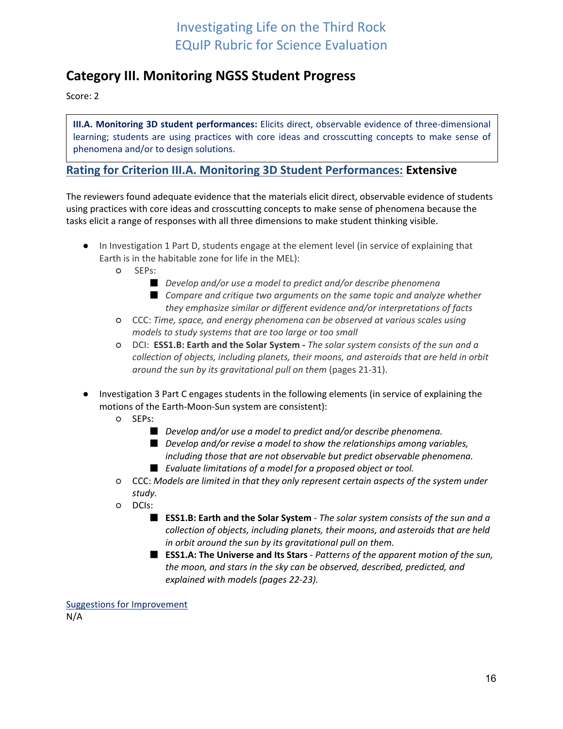## <span id="page-15-0"></span>**Category III. Monitoring NGSS Student Progress**

Score: 2

**III.A. Monitoring 3D student performances:** Elicits direct, observable evidence of three-dimensional learning; students are using practices with core ideas and crosscutting concepts to make sense of phenomena and/or to design solutions.

### **Rating for Criterion III.A. Monitoring 3D Student Performances: Extensive**

The reviewers found adequate evidence that the materials elicit direct, observable evidence of students using practices with core ideas and crosscutting concepts to make sense of phenomena because the tasks elicit a range of responses with all three dimensions to make student thinking visible.

- In Investigation 1 Part D, students engage at the element level (in service of explaining that Earth is in the habitable zone for life in the MEL):
	- SEPs:
		- *Develop and/or use a model to predict and/or describe phenomena* ■ Compare and critique two arguments on the same topic and analyze whether
	- *they emphasize similar or different evidence and/or interpretations of facts* ○ CCC: *Time, space, and energy phenomena can be observed at various scales using models to study systems that are too large or too small*
	- DCI: **ESS1.B: Earth and the Solar System -** *The solar system consists of the sun and a collection of objects, including planets, their moons, and asteroids that are held in orbit around the sun by its gravitational pull on them* (pages 21-31).
- Investigation 3 Part C engages students in the following elements (in service of explaining the motions of the Earth-Moon-Sun system are consistent):
	- SEPs:
		- *Develop and/or use a model to predict and/or describe phenomena.*
		- *Develop and/or revise a model to show the relationships among variables, including those that are not observable but predict observable phenomena.*
		- *Evaluate limitations of a model for a proposed object or tool.*
	- CCC: *Models are limited in that they only represent certain aspects of the system under study.*
	- DCIs:
		- **ESS1.B: Earth and the Solar System** *The solar system consists of the sun and a collection of objects, including planets, their moons, and asteroids that are held in orbit around the sun by its gravitational pull on them.*
		- **ESS1.A: The Universe and Its Stars** *Patterns of the apparent motion of the sun, the moon, and stars in the sky can be observed, described, predicted, and explained with models (pages 22-23).*

Suggestions for Improvement N/A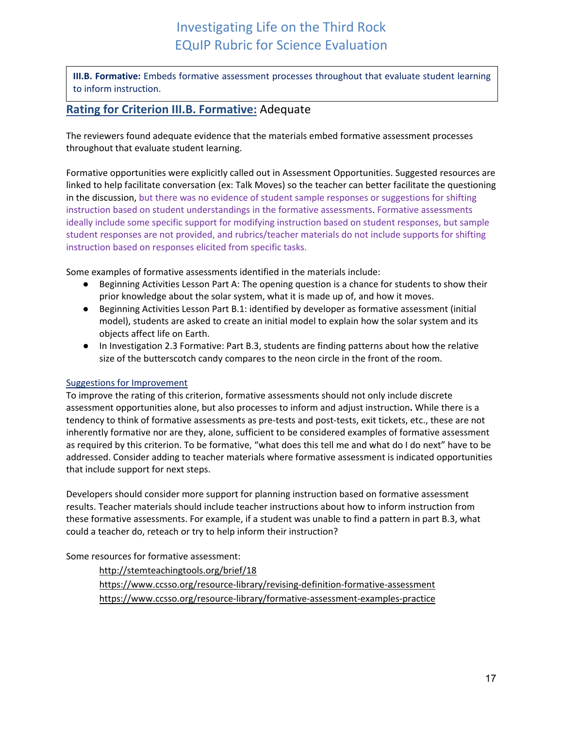**III.B. Formative:** Embeds formative assessment processes throughout that evaluate student learning to inform instruction.

### **Rating for Criterion III.B. Formative:** Adequate

The reviewers found adequate evidence that the materials embed formative assessment processes throughout that evaluate student learning.

Formative opportunities were explicitly called out in Assessment Opportunities. Suggested resources are linked to help facilitate conversation (ex: Talk Moves) so the teacher can better facilitate the questioning in the discussion, but there was no evidence of student sample responses or suggestions for shifting instruction based on student understandings in the formative assessments. Formative assessments ideally include some specific support for modifying instruction based on student responses, but sample student responses are not provided, and rubrics/teacher materials do not include supports for shifting instruction based on responses elicited from specific tasks.

Some examples of formative assessments identified in the materials include:

- Beginning Activities Lesson Part A: The opening question is a chance for students to show their prior knowledge about the solar system, what it is made up of, and how it moves.
- Beginning Activities Lesson Part B.1: identified by developer as formative assessment (initial model), students are asked to create an initial model to explain how the solar system and its objects affect life on Earth.
- In Investigation 2.3 Formative: Part B.3, students are finding patterns about how the relative size of the butterscotch candy compares to the neon circle in the front of the room.

#### Suggestions for Improvement

To improve the rating of this criterion, formative assessments should not only include discrete assessment opportunities alone, but also processes to inform and adjust instruction**.** While there is a tendency to think of formative assessments as pre-tests and post-tests, exit tickets, etc., these are not inherently formative nor are they, alone, sufficient to be considered examples of formative assessment as required by this criterion. To be formative, "what does this tell me and what do I do next" have to be addressed. Consider adding to teacher materials where formative assessment is indicated opportunities that include support for next steps.

Developers should consider more support for planning instruction based on formative assessment results. Teacher materials should include teacher instructions about how to inform instruction from these formative assessments. For example, if a student was unable to find a pattern in part B.3, what could a teacher do, reteach or try to help inform their instruction?

Some resources for formative assessment:

<http://stemteachingtools.org/brief/18> <https://www.ccsso.org/resource-library/revising-definition-formative-assessment> <https://www.ccsso.org/resource-library/formative-assessment-examples-practice>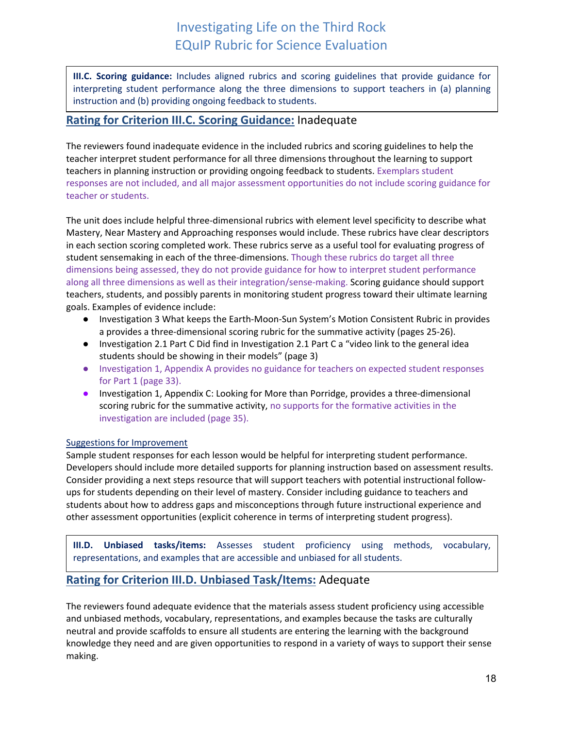**III.C. Scoring guidance:** Includes aligned rubrics and scoring guidelines that provide guidance for interpreting student performance along the three dimensions to support teachers in (a) planning instruction and (b) providing ongoing feedback to students.

### **Rating for Criterion III.C. Scoring Guidance:** Inadequate

The reviewers found inadequate evidence in the included rubrics and scoring guidelines to help the teacher interpret student performance for all three dimensions throughout the learning to support teachers in planning instruction or providing ongoing feedback to students. Exemplars student responses are not included, and all major assessment opportunities do not include scoring guidance for teacher or students.

The unit does include helpful three-dimensional rubrics with element level specificity to describe what Mastery, Near Mastery and Approaching responses would include. These rubrics have clear descriptors in each section scoring completed work. These rubrics serve as a useful tool for evaluating progress of student sensemaking in each of the three-dimensions. Though these rubrics do target all three dimensions being assessed, they do not provide guidance for how to interpret student performance along all three dimensions as well as their integration/sense-making. Scoring guidance should support teachers, students, and possibly parents in monitoring student progress toward their ultimate learning goals. Examples of evidence include:

- Investigation 3 What keeps the Earth-Moon-Sun System's Motion Consistent Rubric in provides a provides a three-dimensional scoring rubric for the summative activity (pages 25-26).
- Investigation 2.1 Part C Did find in Investigation 2.1 Part C a "video link to the general idea students should be showing in their models" (page 3)
- Investigation 1, Appendix A provides no guidance for teachers on expected student responses for Part 1 (page 33).
- Investigation 1, Appendix C: Looking for More than Porridge, provides a three-dimensional scoring rubric for the summative activity, no supports for the formative activities in the investigation are included (page 35).

#### Suggestions for Improvement

Sample student responses for each lesson would be helpful for interpreting student performance. Developers should include more detailed supports for planning instruction based on assessment results. Consider providing a next steps resource that will support teachers with potential instructional followups for students depending on their level of mastery. Consider including guidance to teachers and students about how to address gaps and misconceptions through future instructional experience and other assessment opportunities (explicit coherence in terms of interpreting student progress).

**III.D. Unbiased tasks/items:** Assesses student proficiency using methods, vocabulary, representations, and examples that are accessible and unbiased for all students.

### **Rating for Criterion III.D. Unbiased Task/Items:** Adequate

The reviewers found adequate evidence that the materials assess student proficiency using accessible and unbiased methods, vocabulary, representations, and examples because the tasks are culturally neutral and provide scaffolds to ensure all students are entering the learning with the background knowledge they need and are given opportunities to respond in a variety of ways to support their sense making.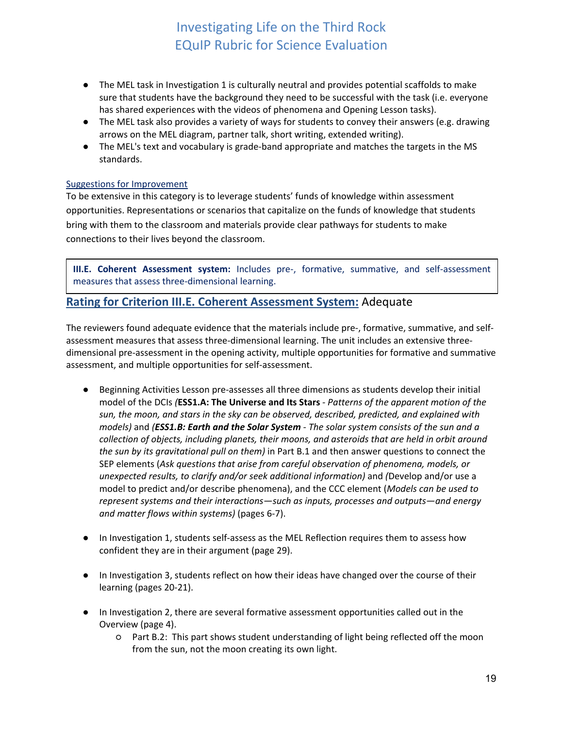- The MEL task in Investigation 1 is culturally neutral and provides potential scaffolds to make sure that students have the background they need to be successful with the task (i.e. everyone has shared experiences with the videos of phenomena and Opening Lesson tasks).
- The MEL task also provides a variety of ways for students to convey their answers (e.g. drawing arrows on the MEL diagram, partner talk, short writing, extended writing).
- The MEL's text and vocabulary is grade-band appropriate and matches the targets in the MS standards.

### Suggestions for Improvement

To be extensive in this category is to leverage students' funds of knowledge within assessment opportunities. Representations or scenarios that capitalize on the funds of knowledge that students bring with them to the classroom and materials provide clear pathways for students to make connections to their lives beyond the classroom.

**III.E. Coherent Assessment system:** Includes pre-, formative, summative, and self-assessment measures that assess three-dimensional learning.

### **Rating for Criterion III.E. Coherent Assessment System:** Adequate

The reviewers found adequate evidence that the materials include pre-, formative, summative, and selfassessment measures that assess three-dimensional learning. The unit includes an extensive threedimensional pre-assessment in the opening activity, multiple opportunities for formative and summative assessment, and multiple opportunities for self-assessment.

- Beginning Activities Lesson pre-assesses all three dimensions as students develop their initial model of the DCIs *(***ESS1.A: The Universe and Its Stars** *- Patterns of the apparent motion of the sun, the moon, and stars in the sky can be observed, described, predicted, and explained with models)* and *(ESS1.B: Earth and the Solar System - The solar system consists of the sun and a collection of objects, including planets, their moons, and asteroids that are held in orbit around the sun by its gravitational pull on them)* in Part B.1 and then answer questions to connect the SEP elements (*Ask questions that arise from careful observation of phenomena, models, or unexpected results, to clarify and/or seek additional information)* and *(*Develop and/or use a model to predict and/or describe phenomena), and the CCC element (*Models can be used to represent systems and their interactions—such as inputs, processes and outputs—and energy and matter flows within systems)* (pages 6-7).
- In Investigation 1, students self-assess as the MEL Reflection requires them to assess how confident they are in their argument (page 29).
- In Investigation 3, students reflect on how their ideas have changed over the course of their learning (pages 20-21).
- In Investigation 2, there are several formative assessment opportunities called out in the Overview (page 4).
	- Part B.2: This part shows student understanding of light being reflected off the moon from the sun, not the moon creating its own light.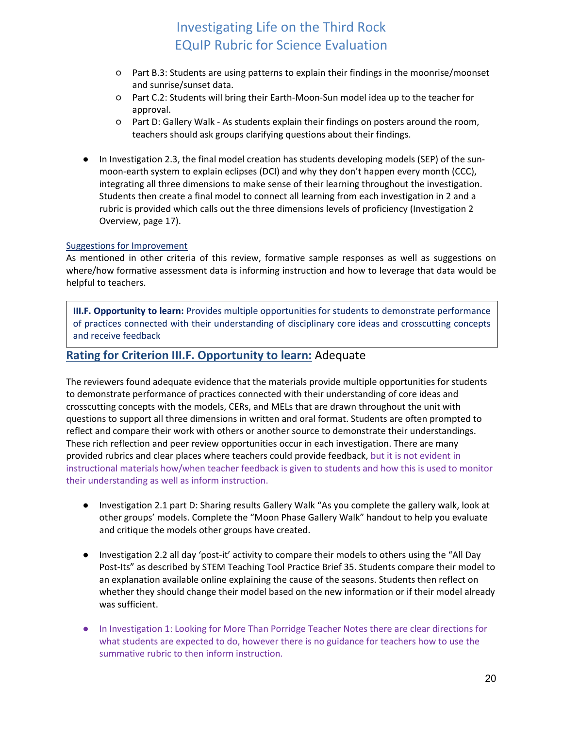- Part B.3: Students are using patterns to explain their findings in the moonrise/moonset and sunrise/sunset data.
- Part C.2: Students will bring their Earth-Moon-Sun model idea up to the teacher for approval.
- Part D: Gallery Walk As students explain their findings on posters around the room, teachers should ask groups clarifying questions about their findings.
- In Investigation 2.3, the final model creation has students developing models (SEP) of the sunmoon-earth system to explain eclipses (DCI) and why they don't happen every month (CCC), integrating all three dimensions to make sense of their learning throughout the investigation. Students then create a final model to connect all learning from each investigation in 2 and a rubric is provided which calls out the three dimensions levels of proficiency (Investigation 2 Overview, page 17).

#### Suggestions for Improvement

As mentioned in other criteria of this review, formative sample responses as well as suggestions on where/how formative assessment data is informing instruction and how to leverage that data would be helpful to teachers.

**III.F. Opportunity to learn:** Provides multiple opportunities for students to demonstrate performance of practices connected with their understanding of disciplinary core ideas and crosscutting concepts and receive feedback

### **Rating for Criterion III.F. Opportunity to learn:** Adequate

The reviewers found adequate evidence that the materials provide multiple opportunities for students to demonstrate performance of practices connected with their understanding of core ideas and crosscutting concepts with the models, CERs, and MELs that are drawn throughout the unit with questions to support all three dimensions in written and oral format. Students are often prompted to reflect and compare their work with others or another source to demonstrate their understandings. These rich reflection and peer review opportunities occur in each investigation. There are many provided rubrics and clear places where teachers could provide feedback, but it is not evident in instructional materials how/when teacher feedback is given to students and how this is used to monitor their understanding as well as inform instruction.

- Investigation 2.1 part D: Sharing results Gallery Walk "As you complete the gallery walk, look at other groups' models. Complete the "Moon Phase Gallery Walk" handout to help you evaluate and critique the models other groups have created.
- Investigation 2.2 all day 'post-it' activity to compare their models to others using the "All Day Post-Its" as described by STEM Teaching Tool Practice Brief 35. Students compare their model to an explanation available online explaining the cause of the seasons. Students then reflect on whether they should change their model based on the new information or if their model already was sufficient.
- In Investigation 1: Looking for More Than Porridge Teacher Notes there are clear directions for what students are expected to do, however there is no guidance for teachers how to use the summative rubric to then inform instruction.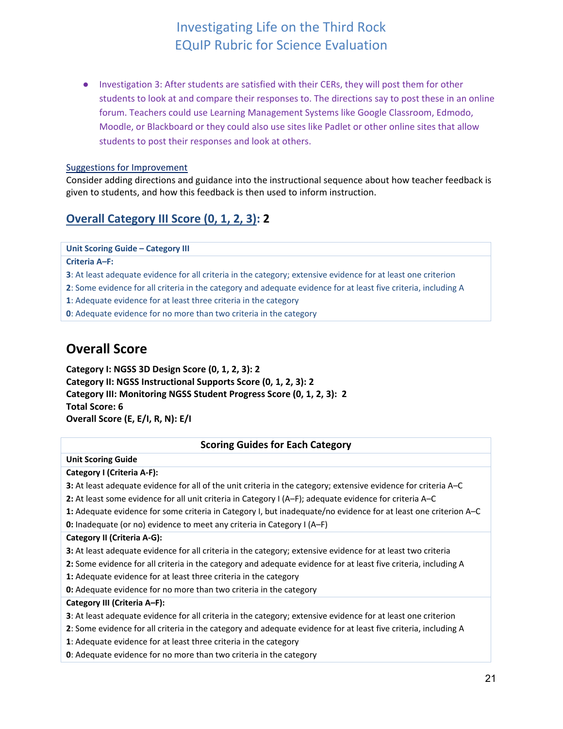● Investigation 3: After students are satisfied with their CERs, they will post them for other students to look at and compare their responses to. The directions say to post these in an online forum. Teachers could use Learning Management Systems like Google Classroom, Edmodo, Moodle, or Blackboard or they could also use sites like Padlet or other online sites that allow students to post their responses and look at others.

#### Suggestions for Improvement

Consider adding directions and guidance into the instructional sequence about how teacher feedback is given to students, and how this feedback is then used to inform instruction.

### **Overall Category III Score (0, 1, 2, 3): 2**

#### **Unit Scoring Guide – Category III**

**Criteria A***–***F:**

**3**: At least adequate evidence for all criteria in the category; extensive evidence for at least one criterion

**2**: Some evidence for all criteria in the category and adequate evidence for at least five criteria, including A

**1**: Adequate evidence for at least three criteria in the category

<span id="page-20-0"></span>**0**: Adequate evidence for no more than two criteria in the category

## **Overall Score**

**Category I: NGSS 3D Design Score (0, 1, 2, 3): 2 Category II: NGSS Instructional Supports Score (0, 1, 2, 3): 2 Category III: Monitoring NGSS Student Progress Score (0, 1, 2, 3): 2 Total Score: 6 Overall Score (E, E/I, R, N): E/I** 

#### **Scoring Guides for Each Category**

#### **Unit Scoring Guide**

#### **Category I (Criteria A-F):**

**3:** At least adequate evidence for all of the unit criteria in the category; extensive evidence for criteria A–C

**2:** At least some evidence for all unit criteria in Category I (A–F); adequate evidence for criteria A–C

**1:** Adequate evidence for some criteria in Category I, but inadequate/no evidence for at least one criterion A–C

**0:** Inadequate (or no) evidence to meet any criteria in Category I (A–F)

#### **Category II (Criteria A-G):**

- **3:** At least adequate evidence for all criteria in the category; extensive evidence for at least two criteria
- **2:** Some evidence for all criteria in the category and adequate evidence for at least five criteria, including A
- **1:** Adequate evidence for at least three criteria in the category

**0:** Adequate evidence for no more than two criteria in the category

#### **Category III (Criteria A***–***F):**

**3**: At least adequate evidence for all criteria in the category; extensive evidence for at least one criterion

- **2**: Some evidence for all criteria in the category and adequate evidence for at least five criteria, including A
- **1**: Adequate evidence for at least three criteria in the category
- **0**: Adequate evidence for no more than two criteria in the category